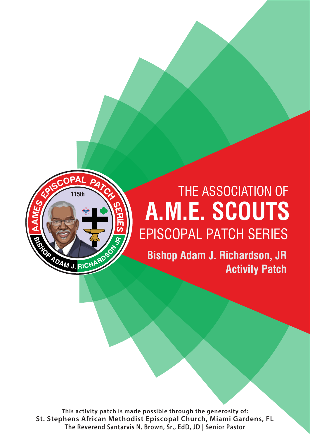

# **A.M.E. SCOUTS** EPISCOPAL PATCH SERIES **74th** THE ASSOCIATION OF

**Bishop Adam J. Richardson, JR Activity Patch**

**This activity patch is made possible through the generosity of: St. Stephens African Methodist Episcopal Church, Miami Gardens, FL The Reverend Santarvis N. Brown, Sr., EdD, JD | Senior Pastor**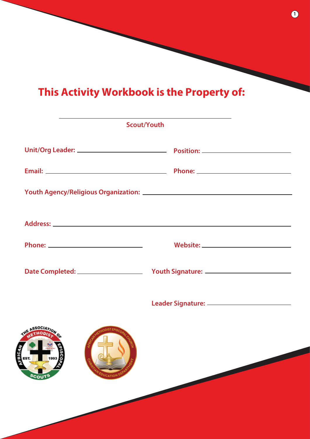# **This Activity Workbook is the Property of:**

| <b>Scout/Youth</b>                      |  |
|-----------------------------------------|--|
|                                         |  |
|                                         |  |
|                                         |  |
|                                         |  |
|                                         |  |
|                                         |  |
|                                         |  |
| <b>Sco</b><br><b>DUCATION</b><br>SCOUTS |  |

**1**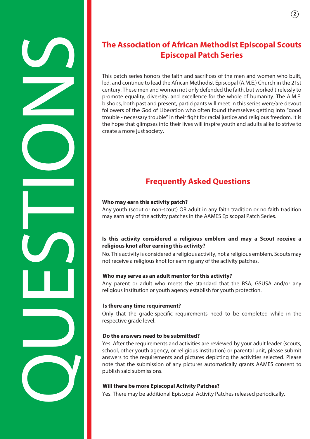# The Association of African Methodist Episcopal Scouts<br>
This particular Engine through the film and another of the film and another of the film and another the film and another of the film of the film of the film of the fil

# **Episcopal Patch Series**

This patch series honors the faith and sacrifices of the men and women who built, led, and continue to lead the African Methodist Episcopal (A.M.E.) Church in the 21st century. These men and women not only defended the faith, but worked tirelessly to promote equality, diversity, and excellence for the whole of humanity. The A.M.E. bishops, both past and present, participants will meet in this series were/are devout followers of the God of Liberation who often found themselves getting into "good trouble - necessary trouble" in their fight for racial justice and religious freedom. It is the hope that glimpses into their lives will inspire youth and adults alike to strive to create a more just society.

## **Frequently Asked Questions**

### **Who may earn this activity patch?**

Any youth (scout or non-scout) OR adult in any faith tradition or no faith tradition may earn any of the activity patches in the AAMES Episcopal Patch Series.

### **Is this activity considered a religious emblem and may a Scout receive a religious knot after earning this activity?**

No. This activity is considered a religious activity, not a religious emblem. Scouts may not receive a religious knot for earning any of the activity patches.

### **Who may serve as an adult mentor for this activity?**

Any parent or adult who meets the standard that the BSA, GSUSA and/or any religious institution or youth agency establish for youth protection.

### **Is there any time requirement?**

Only that the grade-specific requirements need to be completed while in the respective grade level.

### **Do the answers need to be submitted?**

Yes. After the requirements and activities are reviewed by your adult leader (scouts, school, other youth agency, or religious institution) or parental unit, please submit answers to the requirements and pictures depicting the activities selected. Please note that the submission of any pictures automatically grants AAMES consent to publish said submissions.

### **Will there be more Episcopal Activity Patches?**

Yes. There may be additional Episcopal Activity Patches released periodically.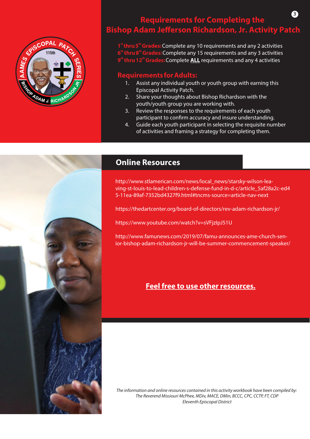

### **Requirements for Completing the Bishop Adam Jefferson Richardson, Jr. Activity Patch 3**

**st th 1 thru 5 Grades:**Complete any 10 requirements and any 2 activities **thru 8<sup>th</sup> Grades:** Complete any 15 requirements and any 3 activities **thru 12<sup>th</sup> Grades:** Complete **ALL** requirements and any 4 activities

### **Requirements for Adults:**

- 1. Assist any individual youth or youth group with earning this Episcopal Activity Patch.
- 2. Share your thoughts about Bishop Richardson with the youth/youth group you are working with.
- 3. Review the responses to the requirements of each youth participant to confirm accuracy and insure understanding.
- 4. Guide each youth participant in selecting the requisite number of activities and framing a strategy for completing them.



### **Online Resources**

http://www.stlamerican.com/news/local\_news/starsky-wilson-leaving-st-louis-to-lead-children-s-defense-fund-in-d-c/article\_5af28a2c-ed4 5-11ea-89af-7352bd4327f9.html#tncms-source=article-nav-next

https://thedartcenter.org/board-of-directors/rev-adam-richardson-jr/

https://www.youtube.com/watch?v=sVFjzIpJ51U

http://www.famunews.com/2019/07/famu-announces-ame-church-senior-bishop-adam-richardson-jr-will-be-summer-commencement-speaker/

### **Feel free to use other resources.**

*The information and online resources contained in this activity workbook have been compiled by: The Reverend Missiouri McPhee, MDiv, MACE, DMin, BCCC, CPC, CCTP, FT, CDP Eleventh Episcopal District*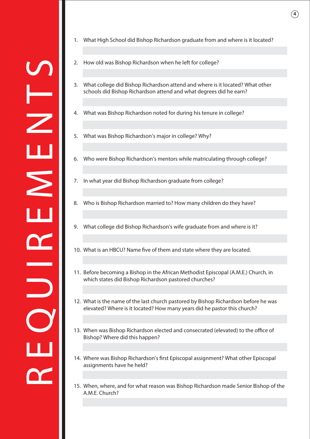

- 1. What High School did Bishop Richardson graduate from and where is it located?
- 2. How old was Bishop Richardson when he left for college?
- 3. What college did Bishop Richardson attend and where is it located? What other schools did Bishop Richardson attend and what degrees did he earn?
- 4. What was Bishop Richardson noted for during his tenure in college?
- 5. What was Bishop Richardson's major in college? Why?
- 6. Who were Bishop Richardson's mentors while matriculating through college?
- 7. In what year did Bishop Richardson graduate from college?
- 8. Who is Bishop Richardson married to? How many children do they have?
- 9. What college did Bishop Richardson's wife graduate from and where is it?
- 10. What is an HBCU? Name five of them and state where they are located.
- 11. Before becoming a Bishop in the African Methodist Episcopal (A.M.E.) Church, in which states did Bishop Richardson pastored churches?
- 12. What is the name of the last church pastored by Bishop Richardson before he was elevated? Where is it located? How many years did he pastor this church?
- 13. When was Bishop Richardson elected and consecrated (elevated) to the office of Bishop? Where did this happen?
- 14. Where was Bishop Richardson's first Episcopal assignment? What other Episcopal assignments have he held?
- 15. When, where, and for what reason was Bishop Richardson made Senior Bishop of the A.M.E. Church?

**4**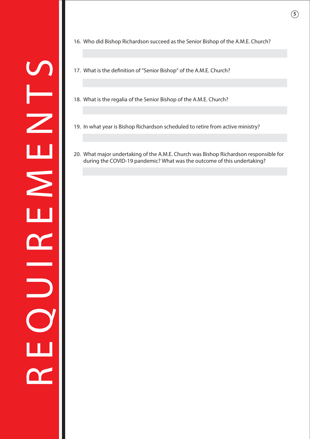16. Who did Bishop Richardson succeed as the Senior Bishop of the A.M.E. Church?

- 17. What is the definition of "Senior Bishop" of the A.M.E. Church?
- 18. What is the regalia of the Senior Bishop of the A.M.E. Church?
- 
- 20. What major undertaking of the A.M.E. Church was Bishop Richardson responsible for during the COVID-19 pandemic? What was the outcome of this undertaking?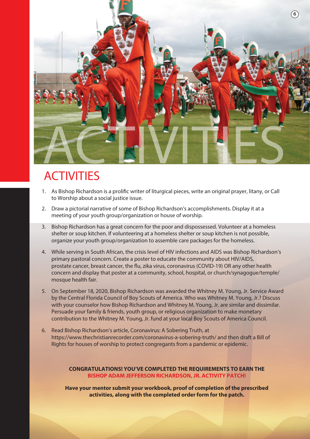

# **ACTIVITIES**

- 1. As Bishop Richardson is a prolific writer of liturgical pieces, write an original prayer, litany, or Call to Worship about a social justice issue.
- 2. Draw a pictorial narrative of some of Bishop Richardson's accomplishments. Display it at a meeting of your youth group/organization or house of worship.
- 3. Bishop Richardson has a great concern for the poor and dispossessed. Volunteer at a homeless shelter or soup kitchen. If volunteering at a homeless shelter or soup kitchen is not possible, organize your youth group/organization to assemble care packages for the homeless.
- 4. While serving in South African, the crisis level of HIV infections and AIDS was Bishop Richardson's primary pastoral concern. Create a poster to educate the community about HIV/AIDS, prostate cancer, breast cancer, the flu, zika virus, coronavirus (COVID-19) OR any other health concern and display that poster at a community, school, hospital, or church/synagogue/temple/ mosque health fair.
- 5. On September 18, 2020, Bishop Richardson was awarded the Whitney M. Young, Jr. Service Award by the Central Florida Council of Boy Scouts of America. Who was Whitney M. Young, Jr.? Discuss with your counselor how Bishop Richardson and Whitney M. Young, Jr. are similar and dissimilar. Persuade your family & friends, youth group, or religious organization to make monetary contribution to the Whitney M. Young, Jr. fund at your local Boy Scouts of America Council.
- 6. Read Bishop Richardson's article, Coronavirus: A Sobering Truth, at https://www.thechristianrecorder.com/coronavirus-a-sobering-truth/ and then draft a Bill of Rights for houses of worship to protect congregants from a pandemic or epidemic.

### **CONGRATULATIONS! YOU'VE COMPLETED THE REQUIREMENTS TO EARN THE BISHOP ADAM JEFFERSON RICHARDSON, JR. ACTIVITY PATCH!**

**Have your mentor submit your workbook, proof of completion of the prescribed activities, along with the completed order form for the patch.**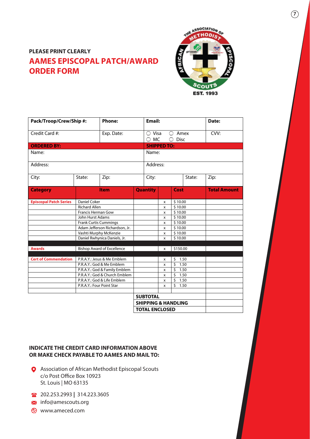### **AAMES EPISCOPAL PATCH/AWARD ORDER FORM PLEASE PRINT CLEARLY**



| Pack/Troop/Crew/Ship #:       |                                                          | <b>Phone:</b>                  |                                | Email:               |                    |                                               |        | Date:               |
|-------------------------------|----------------------------------------------------------|--------------------------------|--------------------------------|----------------------|--------------------|-----------------------------------------------|--------|---------------------|
| Credit Card #:<br>Exp. Date:  |                                                          |                                |                                | ○ Visa<br>( )<br>MC. |                    | Amex<br><b>Disc</b>                           |        | CVV:                |
| <b>ORDERED BY:</b>            |                                                          |                                |                                |                      | <b>SHIPPED TO:</b> |                                               |        |                     |
| Name:                         |                                                          |                                |                                | Name:                |                    |                                               |        |                     |
| Address:                      |                                                          |                                |                                | Address:             |                    |                                               |        |                     |
| City:                         | State:                                                   | Zip:                           |                                | City:                |                    |                                               | State: | Zip:                |
| <b>Category</b>               |                                                          | <b>Item</b>                    | <b>Quantity</b>                |                      |                    | Cost                                          |        | <b>Total Amount</b> |
| <b>Episcopal Patch Series</b> | <b>Daniel Coker</b>                                      |                                |                                |                      | \$10.00<br>X       |                                               |        |                     |
|                               | <b>Richard Allen</b>                                     |                                |                                |                      | \$10.00<br>x       |                                               |        |                     |
|                               | <b>Francis Herman Gow</b>                                |                                |                                | X                    |                    | \$10.00                                       |        |                     |
|                               |                                                          | John Hurst Adams               |                                |                      | X                  | \$10.00                                       |        |                     |
|                               |                                                          | <b>Frank Curtis Cummings</b>   |                                |                      |                    | \$10.00                                       |        |                     |
|                               |                                                          | Adam Jefferson Richardson, Jr. |                                |                      | X                  | $\frac{1}{5}$ 10.00                           |        |                     |
|                               | Vashti Murphy McKenzie                                   |                                |                                |                      | X                  | \$10.00                                       |        |                     |
|                               |                                                          | Daniel Rwhynica Daniels, Jr.   |                                |                      | x                  | \$10.00                                       |        |                     |
|                               |                                                          |                                |                                |                      |                    |                                               |        |                     |
| <b>Awards</b>                 | <b>Bishop Award of Excellence</b>                        |                                |                                | \$150.00<br>x        |                    |                                               |        |                     |
|                               |                                                          |                                |                                |                      |                    |                                               |        |                     |
| <b>Cert of Commendation</b>   | P.R.A.Y.: Jesus & Me Emblem<br>P.R.A.Y.: God & Me Emblem |                                |                                |                      | x                  | \$<br>1.50<br>$\overline{\mathsf{S}}$<br>1.50 |        |                     |
|                               |                                                          | P.R.A.Y.: God & Family Emblem  |                                |                      | x                  | \$<br>1.50                                    |        |                     |
|                               |                                                          | P.R.A.Y.: God & Church Emblem  |                                |                      | x                  | \$<br>1.50                                    |        |                     |
|                               |                                                          | P.R.A.Y.: God & Life Emblem    |                                |                      | x<br>x             | \$                                            | 1.50   |                     |
|                               | P.R.A.Y.: Four Point Star                                |                                |                                |                      | X                  | \$<br>1.50                                    |        |                     |
|                               |                                                          |                                |                                |                      |                    |                                               |        |                     |
|                               |                                                          |                                | <b>SUBTOTAL</b>                |                      |                    |                                               |        |                     |
|                               |                                                          |                                | <b>SHIPPING &amp; HANDLING</b> |                      |                    |                                               |        |                     |
|                               |                                                          |                                |                                |                      |                    |                                               |        |                     |
|                               | <b>TOTAL ENCLOSED</b>                                    |                                |                                |                      |                    |                                               |        |                     |

### **INDICATE THE CREDIT CARD INFORMATION ABOVE OR MAKE CHECK PAYABLE TO AAMES AND MAIL TO:**

- Association of African Methodist Episcopal Scouts c/o Post Office Box 10923 St. Louis | MO 63135
- 202.253.2993 **|** 314.223.3605
- **M** info@amescouts.org
- www.ameced.com